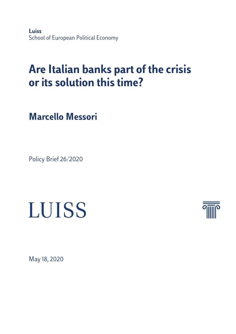**Luiss** School of European Political Economy

# **Are Italian banks part of the crisis or its solution this time?**

**Marcello Messori**

Policy Brief 26/2020





May 18, 2020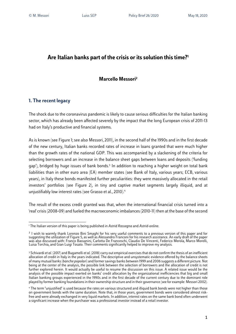# **Are Italian banks part of the crisis or its solution this time?1**

# **Marcello Messori2**

# **1. The recent legacy**

The shock due to the coronavirus pandemic is likely to cause serious difficulties for the Italian banking sector, which has already been affected severely by the impact that the long European crisis of 2011-13 had on Italy's productive and financial systems.

As is known (see Figure 1; see also Messori, 2011), in the second half of the 1990s and in the first decade of the new century, Italian banks recorded rates of increase in loans granted that were much higher than the growth rates of the national GDP. This was accompanied by a slackening of the criteria for selecting borrowers and an increase in the balance sheet gaps between loans and deposits ('funding gap'), bridged by huge issues of bank bonds.<sup>3</sup> In addition to reaching a higher weight on total bank liabilities than in other euro area (EA) member states (see Bank of Italy, various years; ECB, various years), in Italy these bonds manifested further peculiarities: they were massively allocated in the retail investors' portfolios (see Figure 2), in tiny and captive market segments largely illiquid, and at unjustifiably low interest rates (see Grasso et al., 2010).<sup>4</sup>

The result of the excess credit granted was that, when the international financial crisis turned into a 'real' crisis (2008-09) and fueled the macroeconomic imbalances (2010-11) then at the base of the second

<sup>1</sup> The Italian version of this paper is being published in *Astrid Rassegna* and *Astrid-online.*

<sup>&</sup>lt;sup>2</sup> I wish to warmly thank Lorenzo Bini Smaghi for his very useful comments to a previous version of this paper and for<br>suggesting the utilization of Figure 5, as well as Alessandro Franconi for his research assistance. A was also discussed with: Franco Bassanini, Carlotta De Franceschi, Claudio De Vincenti, Federico Merola, Marco Morelli, Luisa Torchia, and Gian Luigi Tosato. Their comments significantly helped to improve my analysis.

<sup>&</sup>lt;sup>3</sup> Schivardi *et al.* (2017) and Bugamelli *et al.* (2018) carry out empirical exercises that do not confirm the thesis of an inefficient allocation of credit in Italy in the years indicated. The descriptive and unsystematic evidence offered by the balance sheets of many mutual banks (*banche popolari*) and former savings banks between 1999 and 2006 suggests a different picture. Not being at the center of the analysis, the possible link between the selection of borrowers and the allocation of credit is not further explored herein. It would actually be useful to resume the discussion on this issue. A related issue would be the analysis of the possible impact exerted on banks' credit allocation by the organizational inefficiencies that big and small Italian banking groups experienced in the 1990s and in the first decade of the current century due to the dominant role played by former banking foundations in their ownership structure and in their governance (see for example: Messori 2002).

<sup>&</sup>lt;sup>4</sup> The term "unjustified" is used because the rates on various structured and illiquid bank bonds were not higher than those on government bonds with the same duration. Note that, in those years, government bonds were considered almost riskfree and were already exchanged in very liquid markets. In addition, interest rates on the same bank bond often underwent a significant increase when the purchaser was a professional investor instead of a retail investor.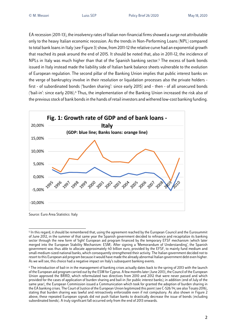EA recession (2011-13), the insolvency rates of Italian non-financial firms showed a surge not attributable only to the heavy Italian economic recession. As the trends in Non-Performing Loans (NPL) compared to total bank loans in Italy (see Figure 3) show, from 2011-12 the relative curve had an exponential growth that reached its peak around the end of 2015. It should be noted that, also in 2011-12, the incidence of NPLs in Italy was much higher than that of the Spanish banking sector.5 The excess of bank bonds issued in Italy instead made the liability side of Italian bank balance sheets vulnerable to the evolution of European regulation. The second pillar of the Banking Union implies that public interest banks on the verge of bankruptcy involve in their resolution or liquidation processes also the private holders first - of subordinated bonds ('burden sharing': since early 2015) and - then - of all unsecured bonds ('bail-in': since early 2016).6 Thus, the implementation of the Banking Union increased the risk also of the previousstock of bank bondsin the hands of retail investors and withered low-cost banking funding.



Source: Euro Area Statistics: Italy

<sup>5</sup> In this regard, it should be remembered that, using the agreement reached by the European Council and the Eurosummit of June 2012, in the summer of that same year the Spanish government decided to refinance and recapitalize its banking sector through the new form of 'light' European aid program financed by the temporary EFSF mechanism (which later merged into the European Stability Mechanism: ESM). After signing a 'Memorandum of Understanding', the Spanish government was thus able to allocate approximately 40 billion euro, provided by the EFSF, to mainly fund medium and small-medium-sized national banks, which consequently strengthened their activity. The Italian government decided not to resort to this European aid program because it would have made the already abnormal Italian government debt even higher. As we will see, this choice had a negative impact on Italy's subsequent banking events.

<sup>6</sup> The introduction of bail-in in the management of banking crises actually dates back to the spring of 2013 with the launch of the European aid program carried out by the ESM for Cyprus. A few months later (June 2013), the Council of the European Union approved the BRRD, which reformulated two directives from 2010 and 2012 that were never passed and which provided for the cases of application of burden sharing and bail-in (for public interest banks); in addition (end of July of the same year), the European Commission issued a Communication which took for granted the adoption of burden sharing in the EA banking crises. The Court of Justice of the European Union legitimized this point (see C-526/14; see also Tosato 2016), stating that burden sharing was lawful and retroactively enforceable even if not compulsory. As also shown in Figure 2 above, these repeated European signals did not push Italian banks to drastically decrease the issue of bonds (including subordinated bonds). A truly significant fall occurred only from the end of 2013 onwards.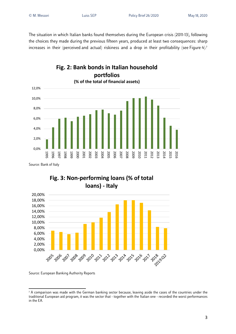The situation in which Italian banks found themselves during the European crisis (2011-13), following the choices they made during the previous fifteen years, produced at least two consequences: sharp increases in their (perceived and actual) riskiness and a drop in their profitability (see Figure 4).<sup>7</sup>



# **Fig. 3: Non-performing loans (% of total loans) - Italy**



Source: European Banking Authority Reports

<sup>7</sup> A comparison was made with the German banking sector because, leaving aside the cases of the countries under the traditional European aid program, it was the sector that - together with the Italian one - recorded the worst performances in the EA.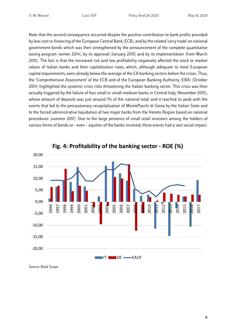Note that the second consequence occurred despite the positive contribution to bank profits provided by low-cost re-financing of the European Central Bank (ECB), and by the related 'carry trade' on national government bonds which was then strengthened by the announcement of the complete quantitative easing program (winter 2014), by its approval (January 2015) and by its implementation (from March 2015). The fact is that the increased risk and low profitability negatively affected the stock or market values of Italian banks and their capitalization rates, which, although adequate to meet European capital requirements, were already below the average of the EA banking sectors before the crises. Thus, the 'Comprehensive Assessment' of the ECB and of the European Banking Authority (EBA) (October 2014) highlighted the systemic crisis risks threatening the Italian banking sector. This crisis was then actually triggered by the failure of four small or small-medium banks in Central Italy (November 2015), whose amount of deposits was just around 1% of the national total; and it reached its peak with the events that led to the precautionary recapitalization of MontePaschi di Siena by the Italian State and to the forced administrative liquidation of two major banks from the Veneto Region based on national procedures (summer 2017). Due to the large presence of small retail investors among the holders of various forms of bonds or - even – equities of the banks involved, these events had a vast social impact.



**Fig. 4: Profitability of the banking sector - ROE (%)**

Source: Bank Scope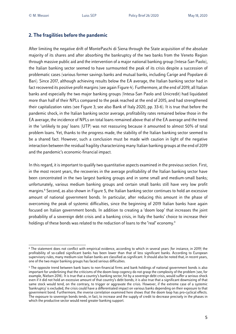# **2. The fragilities before the pandemic**

After limiting the negative drift of MontePaschi di Siena through the State acquisition of the absolute majority of its shares and after absorbing the bankruptcy of the two banks from the Veneto Region through massive public aid and the intervention of a major national banking group (Intesa-San Paolo), the Italian banking sector seemed to have surmounted the peak of its crisis despite a succession of problematic cases (various former savings banks and mutual banks, including Carige and Popolare di Bari). Since 2017, although achieving results below the EA average, the Italian banking sector had in fact recovered its positive profit margins (see again Figure 4). Furthermore, at the end of 2019, all Italian banks and especially the two major banking groups (Intesa-San Paolo and Unicredit) had liquidated more than half of their NPLs compared to the peak reached at the end of 2015, and had strengthened their capitalization rates (see Figure 3; see also Bank of Italy 2020, pp. 33-6). It is true that before the pandemic shock, in the Italian banking sector average, profitability rates remained below those in the EA average, the incidence of NPLs on total loans remained above that of the EA average and the trend in the 'unlikely to pay' loans (UTP) was not reassuring because it amounted to almost 50% of total problem loans. Yet, thanks to the progress made, the stability of the Italian banking sector seemed to be a shared fact. However, such a conclusion must be made with caution in light of the negative interaction between the residual fragility characterizing many Italian banking groups at the end of 2019 and the pandemic's economic-financial impact.

In this regard, it is important to qualify two quantitative aspects examined in the previous section. First, in the most recent years, the recoveries in the average profitability of the Italian banking sector have been concentrated in the two largest banking groups and in some small and medium-small banks; unfortunately, various medium banking groups and certain small banks still have very low profit margins.8 Second, as also shown in Figure 5, the Italian banking sector continues to hold an excessive amount of national government bonds. In particular, after reducing this amount in the phase of overcoming the peak of systemic difficulties, since the beginning of 2019 Italian banks have again focused on Italian government bonds. In addition to creating a 'doom loop' that increases the joint probability of a sovereign debt crisis and a banking crisis, in Italy the banks' choice to increase their holdings of these bonds was related to the reduction of loans to the "real" economy.<sup>9</sup>

<sup>8</sup> The statement does not conflict with empirical evidence, according to which in several years (for instance, in 2019) the profitability of so-called significant banks has been lower than that of less significant banks. According to European supervisory rules, many medium-size Italian banks are classified as significant. It should also be noted that, in recent years, one of the two major banking groups has faced serious difficulties.

<sup>9</sup> The opposite trend between bank loans to non-financial firms and bank holdings of national government bonds is also important for underlining that the criticisms of the doom-loop cogency do not grasp the complexity of the problem (see, for example, Nielsen 2016). It is true that a country's banking sector, hit by a sovereign debt crisis, would suffer a serious shock even if it did not hold an excessive amount of that country's debt bonds; it is also true that a significant downsizing of that same stock would tend, on the contrary, to trigger or aggravate the crisis. However, if the extreme case of a systemic 'bankruptcy' is excluded, the crisis could have a differentiated impact on various banks depending on their exposure to that government bond. Furthermore, the inverse correlation examined here shows that the doom loop has pro-cyclical effects. The exposure to sovereign bonds tends, in fact, to increase and the supply of credit to decrease precisely in the phases in which the productive sector would need greater banking support.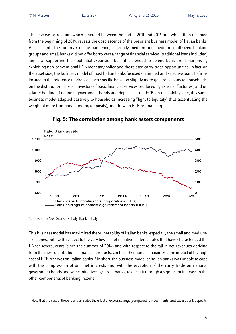This inverse correlation, which emerged between the end of 2011 and 2016 and which then resumed from the beginning of 2019, reveals the obsolescence of the prevalent business model of Italian banks. At least until the outbreak of the pandemic, especially medium and medium-small-sized banking groups and small banks did not offer borrowers a range of financial services (traditional loans included) aimed at supporting their potential expansion, but rather tended to defend bank profit margins by exploiting non-conventional ECB monetary policy and the related carry-trade opportunities. In fact, on the asset side, the business model of most Italian banks focused on limited and selective loans to firms located in the reference markets of each specific bank, on slightly more generous loans to households, on the distribution to retail investors of basic financial services produced by external 'factories', and on a large holding of national government bonds and deposits at the ECB; on the liability side, this same business model adapted passively to households increasing 'flight to liquidity', thus accentuating the weight of more traditional funding (deposits), and drew on ECB re-financing.



# **Fig. 5: The correlation among bank assets components**

Source: Euro Area Statistics: Italy; Bank of Italy.

This business model has maximized the vulnerability of Italian banks, especially the small and mediumsized ones, both with respect to the very low - if not negative - interest rates that have characterized the EA for several years (since the summer of 2014) and with respect to the fall in net revenues deriving from the mere distribution of financial products. On the other hand, it maximized the impact of the high cost of ECB reserves on Italian banks. <sup>10</sup> In short, the business model of Italian banks was unable to cope with the compression of unit net interests and, with the exception of the carry trade on national government bonds and some initiatives by larger banks, to offset it through a significant increase in the other components of banking income.

<sup>&</sup>lt;sup>10</sup> Note that the cost of these reserves is also the effect of excess savings (compared to investments) and excess bank deposits.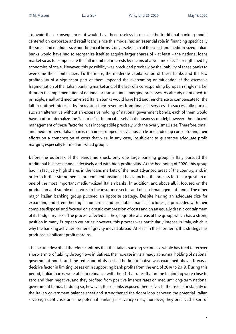To avoid these consequences, it would have been useless to dismiss the traditional banking model centered on corporate and retail loans, since this model has an essential role in financing specifically the small and medium-size non-financial firms. Conversely, each of the small and medium-sized Italian banks would have had to reorganize itself to acquire larger shares of - at least – the national loans market so as to compensate the fall in unit net interests by means of a 'volume effect' strengthened by economies of scale. However, this possibility was precluded precisely by the inability of these banks to overcome their limited size. Furthermore, the moderate capitalization of these banks and the low profitability of a significant part of them impeded the overcoming or mitigation of the excessive fragmentation of the Italian banking market and of the lack of a corresponding European single market through the implementation of national or transnational merging processes. As already mentioned, in principle, small and medium-sized Italian banks would have had another chance to compensate for the fall in unit net interests: by increasing their revenues from financial services. To successfully pursue such an alternative without an excessive holding of national government bonds, each of them would have had to internalize the 'factories' of financial assets in its business model; however, the efficient management of these 'factories' was incompatible precisely with the overly small size. Therefore, small and medium-sized Italian banks remained trapped in a vicious circle and ended up concentrating their efforts on a compression of costs that was, in any case, insufficient to guarantee adequate profit margins, especially for medium-sized groups.

Before the outbreak of the pandemic shock, only one large banking group in Italy pursued the traditional business model effectively and with high profitability. At the beginning of 2020, this group had, in fact, very high shares in the loans markets of the most advanced areas of the country; and, in order to further strengthen its pre-eminent position, it has launched the process for the acquisition of one of the most important medium-sized Italian banks. In addition, and above all, it focused on the production and supply of services in the insurance sector and of asset management funds. The other major Italian banking group pursued an opposite strategy. Despite having an adequate size for expanding and strengthening its numerous and profitable financial 'factories', it proceeded with their complete disposal and focused on a drastic compression of costs and on an equally drastic containment of its budgetary risks. The process affected all the geographical areas of the group, which has a strong position in many European countries; however, this process was particularly intense in Italy, which is why the banking activities' center of gravity moved abroad. At least in the short term, this strategy has produced significant profit margins.

The picture described therefore confirms that the Italian banking sector as a whole has tried to recover short-term profitability through two initiatives: the increase in its already abnormal holding of national government bonds and the reduction of its costs. The first initiative was examined above. It was a decisive factor in limiting losses or in supporting bank profits from the end of 2014 to 2019. During this period, Italian banks were able to refinance with the ECB at rates that in the beginning were close to zero and then negative, and they profited from positive interest rates on medium/long-term national government bonds. In doing so, however, these banks exposed themselves to the risks of instability in the Italian government balance sheet and strengthened the doom loop between the potential Italian sovereign debt crisis and the potential banking insolvency crisis; moreover, they practiced a sort of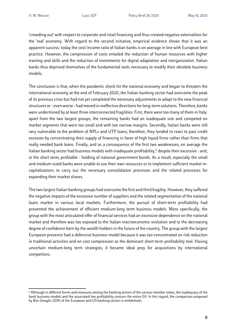'crowding out' with respect to corporate and retail financing and thus created negative externalities for the 'real' economy. With regard to the second initiative, empirical evidence shows that it was an apparent success: today the cost/income ratio of Italian banks is on average in line with European best practice. However, the compression of costs entailed the reduction of human resources with higher training and skills and the reduction of investments for digital adaptation and reorganization. Italian banks thus deprived themselves of the fundamental tools necessary to modify their obsolete business models.

The conclusion is that, when the pandemic shock hit the national economy and began to threaten the international economy at the end of February 2020, the Italian banking sector had overcome the peak of its previous crisis but had not yet completed the necessary adjustments to adapt to the new financial structures or - even worse - had moved in ineffective directions for long-term solutions. Therefore, banks were undermined by at least three interconnected fragilities. First, there were too many of them in Italy: apart from the two largest groups, the remaining banks had an inadequate size and competed on market segments that were too small and with too narrow margins. Secondly, Italian banks were still very vulnerable to the problem of NPLs and UTP loans; therefore, they tended to react to past credit excesses by concentrating their supply of financing in favor of high liquid firms rather than firms that really needed bank loans. Finally, and as a consequence of the first two weaknesses, on average the Italian banking sector had business models with inadequate profitability,<sup> $\eta$ </sup> despite their excessive - and, in the short term, profitable - holding of national government bonds. As a result, especially the small and medium-sized banks were unable to use their own resources or to implement sufficient market recapitalizations to carry out the necessary consolidation processes and the related processes for expanding their market shares.

The two largest Italian banking groups had overcome the first and third fragility. However, they suffered the negative impacts of the excessive number of suppliers and the related segmentation of the national loans market in various local markets. Furthermore, the pursuit of short-term profitability had prevented the achievement of efficient medium-long term business models. More specifically, the group with the most articulated offer of financial services had an excessive dependence on the national market and therefore was too exposed to the Italian macroeconomic evolution and to the decreasing degree of confidence born by the wealth holders in the future of the country. The group with the largest European presence had a defensive business model because it was too concentrated on risk reduction in traditional activities and on cost compression as the dominant short-term profitability tool. Having uncertain medium-long term strategies, it became ideal prey for acquisitions by international competitors.

<sup>11</sup> Although in different forms and measures among the banking sectors of the various member states, the inadequacy of the bank business models and the associated low profitability concern the entire EA. In this regard, the comparison proposed by Bini Smaghi (2019) of the European and US banking sectors is emblematic.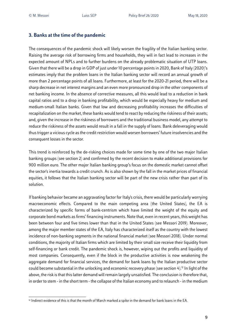# **3. Banks at the time of the pandemic**

The consequences of the pandemic shock will likely worsen the fragility of the Italian banking sector. Raising the average risk of borrowing firms and households, they will in fact lead to increases in the expected amount of NPLs and to further burdens on the already problematic situation of UTP loans. Given that there will be a drop in GDP of just under 10 percentage points in 2020, Bank of Italy (2020)'s estimates imply that the problem loans in the Italian banking sector will record an annual growth of more than 2 percentage points of all loans. Furthermore, at least for the 2020-21 period, there will be a sharp decrease in net interest margins and an even more pronounced drop in the other components of net banking income. In the absence of corrective measures, all this would lead to a reduction in bank capital ratios and to a drop in banking profitability, which would be especially heavy for medium and medium-small Italian banks. Given that low and decreasing profitability increases the difficulties of recapitalization on the market, these banks would tend to react by reducing the riskiness of their assets; and, given the increase in the riskiness of borrowers and the traditional business model, any attempt to reduce the riskiness of the assets would result in a fall in the supply of loans. Bank deleveraging would thus trigger a vicious cycle as the credit restriction would worsen borrowers' future insolvencies and the consequent losses in the sector.

This trend is reinforced by the de-risking choices made for some time by one of the two major Italian banking groups (see section 2) and confirmed by the recent decision to make additional provisions for 900 million euro. The other major Italian banking group's focus on the domestic market cannot offset the sector's inertia towards a credit crunch. As is also shown by the fall in the market prices of financial equities, it follows that the Italian banking sector will be part of the new crisis rather than part of its solution.

If banking behavior became an aggravating factor for Italy's crisis, there would be particularly worrying macroeconomic effects. Compared to the main competing area (the United States), the EA is characterized by specific forms of bank-centrism which have limited the weight of the equity and corporate bond markets as firms' financing instruments. Note that, even in recent years, this weight has been between four and five times lower than that in the United States (see Messori 2019). Moreover, among the major member states of the EA, Italy has characterized itself as the country with the lowest incidence of non-banking segments in the national financial market (see Messori 2018). Under normal conditions, the majority of Italian firms which are limited by their small size receive their liquidity from self-financing or bank credit. The pandemic shock is, however, wiping out the profits and liquidity of most companies. Consequently, even if the block in the productive activities is now weakening the aggregate demand for financial services, the demand for bank loans by the Italian productive sector could become substantial in the unlocking and economic recovery phase (see section 4).12 In light of the above, the risk is that thislatter demand will remain largely unsatisfied. The conclusion is therefore that, in order to stem - in the short term - the collapse of the Italian economy and to relaunch - in the medium

 $12$  Indirect evidence of this is that the month of March marked a spike in the demand for bank loans in the EA.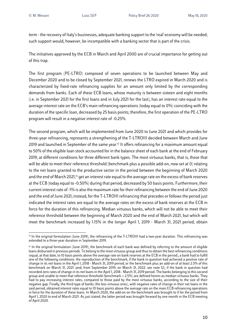term - the recovery of Italy's businesses, adequate banking support to the 'real' economy will be needed; such support would, however, be incompatible with a banking sector that is part of the crisis.

The initiatives approved by the ECB in March and April 2000 are of crucial importance for getting out of this trap.

The first program (PE-LTRO) composed of seven operations to be launched between May and December 2020 and to be closed by September 2021, renews the LTRO expired in March 2020 and is characterized by fixed-rate refinancing supplies for an amount only limited by the corresponding demands from banks. Each of these ECB loans, whose maturity is between sixteen and eight months (i.e. in September 2021 for the first loans and in July 2021 for the last), has an interest rate equal to the average interest rate on the ECB's main refinancing operations (today equal to 0%) coinciding with the duration of the specific loan, decreased by 25 basis points; therefore, the first operation of the PE-LTRO program will result in a negative interest rate of -0.25%.

The second program, which will be implemented from June 2020 to June 2021 and which provides for three-year refinancing, represents a strengthening of the T-LTROIII decided between March and June 2019 and launched in September of the same year.<sup>13</sup> It offers refinancing for a maximum amount equal to 50% of the eligible loan stock accounted for in the balance sheet of each bank at the end of February 2019, at different conditions for three different bank types. The most virtuous banks, that is, those that will be able to meet their reference threshold (benchmark plus a possible add-on, now set at 0) relating to the net loans granted to the productive sector in the period between the beginning of March 2020 and the end of March 2021,<sup>14</sup> get an interest rate equal to the average rate on the excess of bank reserves at the ECB (today equal to -0.50%) during that period, decreased by 50 basis points. Furthermore, their current interest rate of -1% is also the maximum rate for their refinancing between the end of June 2020 and the end of June 2021; instead, for the T-LTROIII refinancing that precedes or followsthe period just indicated the interest rates are equal to the average rates on the excess of bank reserves at the ECB in force for the duration of this refinancing. Median virtuous banks, which will not be able to meet their reference threshold between the beginning of March 2020 and the end of March 2021, but which will meet the benchmark increased by 1.15% in the longer April 1, 2019 - March 31, 2021 period, obtain

<sup>&</sup>lt;sup>13</sup> In the original formulation (June 2019), the refinancing of the T-LTROIII had a two-year duration. This refinancing was extended to a three-year duration in September 2019.

<sup>14</sup> In the original formulation (June 2019), the benchmark of each bank was defined by referring to the amount of eligible loans disbursed in previous periods. To belong to the most virtuous group and thus to obtain the best refinancing conditions (equal, at that date, to 10 basis points above the average rate on bank reserves at the ECB in the period), a bank had to fulfill one of the following conditions: the reproduction of the benchmark, if the bank in question had achieved a positive rate of change in its net loans in the April 1, 2018 - March 31, 2019 period; or the benchmark plus an add-on of at least 2.5% of this benchmark on March 31, 2021 (and, from September 2019, on March 31, 2022: see note 12), if the bank in question had recorded zero rates of change in its net loans in the April 1, 2018 - March 31, 2019 period. The banks belonging to this second group and unable to meet that reference threshold (benchmark + 2.5%) are defined herein as median virtuous banks. They had to pay increasing interest rates, compared to those paid by the most virtuous banks, according to the size of their negative gap. Finally, the third type of banks (the less virtuous ones), with negative rates of change in their net loans in the said period, obtained interest rates equal to 10 basis points above the average rate on the main ECB refinancing operations in force for the duration of these loans. In March 2020, the add-on on the benchmark was brought to 0 for the period from April 1, 2020 to end of March 2021. As just stated, the latter period was brought forward by one month in the ECB meeting of April 2020.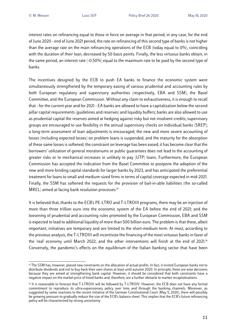interest rates on refinancing equal to those in force on average in that period; in any case, for the end of June 2020 - end of June 2021 period, the rate on refinancing of this second type of banksis not higher than the average rate on the main refinancing operations of the ECB (today equal to 0%), coinciding with the duration of their loan, decreased by 50 basis points. Finally, the less virtuous banks obtain, in the same period, an interest rate (-0.50%) equal to the maximum rate to be paid by the second type of banks.

The incentives designed by the ECB to push EA banks to finance the economic system were simultaneously strengthened by the temporary easing of various prudential and accounting rules by both European regulatory and supervisory authorities (respectively, EBA and SSM), the Basel Committee, and the European Commission. Without any claim to exhaustiveness, it is enough to recall that - for the current year and for 2021 - EA banks are allowed to have a capitalization below the second pillar capital requirements (guidelines and reserves) and liquidity buffers; banks are also allowed to use as prudential capital the reserves aimed at hedging against risky but not insolvent credits; supervisory groups are encouraged to use flexibility in the annual supervisory checks on individual banks (SREP); a long-term assessment of loan adjustments is encouraged; the new and more severe accounting of losses (including expected losses) on problem loans is suspended, and the maturity for the absorption of these same lossesis softened; the constraint on leverage has been eased; it has become clear that the borrowers' utilization of general moratoriums or public guarantees does not lead to the accounting of greater risks or to mechanical increases in unlikely to pay (UTP) loans. Furthermore, the European Commission has accepted the indication from the Basel Committee to postpone the adoption of the new and more binding capital standards for larger banks by 2023, and has anticipated the preferential treatment for loans to small and medium-sized firms in terms of capital coverage expected in mid-2021. Finally, the SSM has softened the requests for the provision of bail-in-able liabilities (the so-called MREL) aimed at facing bank resolution processes.<sup>15</sup>

It is believed that, thanks to the ECB's PE-LTRO and T-LTROIII programs, there may be an injection of more than three trillion euro into the economic system of the EA before the end of 2021; and the loosening of prudential and accounting rules promoted by the European Commission, EBA and SSM is expected to lead to additional liquidity of more than 500 billion euro. The problem is that these, albeit important, initiatives are temporary and are limited to the short-medium term. At most, according to the previous analysis, the T-LTROIII will incentivize the financing of the most virtuous banks in favor of the 'real' economy until March 2022; and the other interventions will finish at the end of 2021.<sup>16</sup> Conversely, the pandemic's effects on the equilibrium of the Italian banking sector that have been

<sup>&</sup>lt;sup>15</sup> The SSM has, however, placed new constraints on the allocation of actual profits. In fact, it invited European banks not to distribute dividends and not to buy back their own shares at least until autumn 2020. In principle, these are wise decisions because they are aimed at strengthening bank capital. However, it should be considered that both constraints have a negative impact on the market price of listed banks and, therefore, are a further obstacle to market recapitalizations.

<sup>16</sup> It is reasonable to forecast that T-LTROIII will be followed by T-LTROIV. However, the ECB does not have any formal commitment to reproduce its ultra-expansionary policy over time and through the banking channels. Moreover, as suggested by some reactions to the recent initiative of the German Constitutional Court (May 5, 2020), there will possibly be growing pressure to gradually reduce the size of the ECB's balance sheet. This implies that the ECB's future refinancing policy will be characterized by strong uncertainty.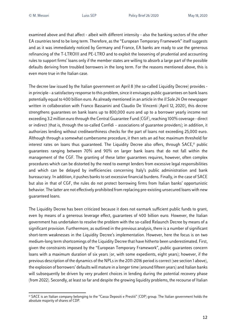examined above and that affect - albeit with different intensity - also the banking sectors of the other EA countries tend to be long term. Therefore, as the "European Temporary Framework" itself suggests and as it was immediately noticed by Germany and France, EA banks are ready to use the generous refinancing of the T-LTROIII and PE-LTRO and to exploit the loosening of prudential and accounting rules to support firms' loans only if the member states are willing to absorb a large part of the possible defaults deriving from troubled borrowers in the long term. For the reasons mentioned above, this is even more true in the Italian case.

The decree law issued by the Italian government on April 8 (the so-called Liquidity Decree) provides in principle - a satisfactory response to this problem, since it envisages public guarantees on bank loans potentially equal to 400 billion euro. As already mentioned in an article in the *Il Sole 24 Ore* newspaper written in collaboration with Franco Bassanini and Claudio De Vincenti (April 12, 2020), this decree strengthens guarantees on bank loans up to 800,000 euro and up to a borrower yearly income not exceeding 3.2 million euro through the Central Guarantee Fund (CGF), reaching 100% coverage - direct or indirect (that is, through the so-called Confidi – associations of guarantee providers); in addition, it authorizes lending without creditworthiness checks for the part of loans not exceeding 25,000 euro. Although through a somewhat cumbersome procedure, it then sets an ad hoc maximum threshold for interest rates on loans thus quaranteed. The Liquidity Decree also offers, through SACE,<sup>17</sup> public guarantees ranging between 70% and 90% on larger bank loans that do not fall within the management of the CGF. The granting of these latter guarantees requires, however, often complex procedures which can be distorted by the need to exempt lenders from excessive legal responsibilities and which can be delayed by inefficiencies concerning Italy's public administration and bank bureaucracy. In addition, it pushes banks to set excessive financial burdens. Finally, in the case of SACE but also in that of CGF, the rules do not protect borrowing firms from Italian banks' opportunistic behavior. The latter are not effectively prohibited from replacing pre-existing unsecured loans with new guaranteed loans.

The Liquidity Decree has been criticized because it does not earmark sufficient public funds to grant, even by means of a generous leverage effect, guarantees of 400 billion euro. However, the Italian government has undertaken to resolve the problem with the so-called Relaunch Decree by means of a significant provision. Furthermore, as outlined in the previous analysis, there is a number of significant short-term weaknesses in the Liquidity Decree's implementation. However, here the focus is on two medium-long term shortcomings of the Liquidity Decree that have hitherto been underestimated. First, given the constraints imposed by the "European Temporary Framework", public guarantees concern loans with a maximum duration of six years (or, with some expedients, eight years); however, if the previous description of the dynamics of the NPLs in the 2011-2016 period is correct (see section 1 above), the explosion of borrowers' defaults will mature in a longer time (around fifteen years) and Italian banks will subsequently be driven by very prudent choices in lending during the potential recovery phase (from 2022). Secondly, at least so far and despite the growing liquidity problems, the recourse of Italian

<sup>17</sup> SACE is an Italian company belonging to the "Cassa Depositi e Prestiti" (CDP) group. The Italian government holds the absolute majority of shares of CDP.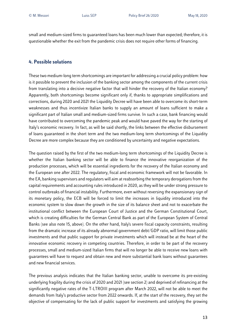small and medium-sized firms to guaranteed loans has been much lower than expected; therefore, it is questionable whether the exit from the pandemic crisis does not require other forms of financing.

#### **4. Possible solutions**

These two medium-long term shortcomings are important for addressing a crucial policy problem: how is it possible to prevent the inclusion of the banking sector among the components of the current crisis from translating into a decisive negative factor that will hinder the recovery of the Italian economy? Apparently, both shortcomings become significant only if, thanks to appropriate simplifications and corrections, during 2020 and 2021 the Liquidity Decree will have been able to overcome its short-term weaknesses and thus incentivize Italian banks to supply an amount of loans sufficient to make a significant part of Italian small and medium-sized firms survive. In such a case, bank financing would have contributed to overcoming the pandemic peak and would have paved the way for the starting of Italy's economic recovery. In fact, as will be said shortly, the links between the effective disbursement of loans guaranteed in the short term and the two medium-long term shortcomings of the Liquidity Decree are more complex because they are conditioned by uncertainty and negative expectations.

The question raised by the first of the two medium-long term shortcomings of the Liquidity Decree is whether the Italian banking sector will be able to finance the innovative reorganization of the production processes, which will be essential ingredients for the recovery of the Italian economy and the European one after 2022. The regulatory, fiscal and economic framework will not be favorable. In the EA, banking supervisors and regulators will aim at reabsorbing the temporary derogations from the capital requirements and accounting rules introduced in 2020, as they will be under strong pressure to control outbreaks of financial instability. Furthermore, even without reversing the expansionary sign of its monetary policy, the ECB will be forced to limit the increases in liquidity introduced into the economic system to slow down the growth in the size of its balance sheet and not to exacerbate the institutional conflict between the European Court of Justice and the German Constitutional Court, which is creating difficulties for the German Central Bank as part of the European System of Central Banks (see also note 15, above). On the other hand, Italy's severe fiscal capacity constraints, resulting from the dramatic increase of its already abnormal government debt/GDP ratio, will limit those public investments and that public support for private investments which will instead be at the heart of the innovative economic recovery in competing countries. Therefore, in order to be part of the recovery processes, small and medium-sized Italian firms that will no longer be able to receive new loans with guarantees will have to request and obtain new and more substantial bank loans without guarantees and new financial services.

The previous analysis indicates that the Italian banking sector, unable to overcome its pre-existing underlying fragility during the crisis of 2020 and 2021 (see section 2) and deprived of refinancing at the significantly negative rates of the T-LTROIII program after March 2022, will not be able to meet the demands from Italy's productive sector from 2022 onwards. If, at the start of the recovery, they set the objective of compensating for the lack of public support for investments and satisfying the growing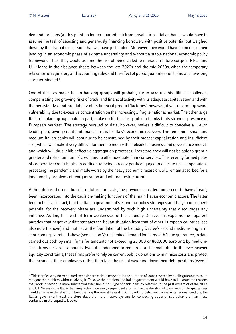demand for loans (at this point no longer guaranteed) from private firms, Italian banks would have to assume the task of selecting and generously financing borrowers with positive potential but weighed down by the dramatic recession that will have just ended. Moreover, they would have to increase their lending in an economic phase of extreme uncertainty and without a stable national economic policy framework. Thus, they would assume the risk of being called to manage a future surge in NPLs and UTP loans in their balance sheets between the late 2020s and the mid-2030s, when the temporary relaxation of regulatory and accounting rules and the effect of public guarantees on loans will have long since terminated. 18

One of the two major Italian banking groups will probably try to take up this difficult challenge, compensating the growing risks of credit and financial activity with its adequate capitalization and with the persistently good profitability of its financial product 'factories'; however, it will record a growing vulnerability due to excessive concentration on the increasingly fragile national market. The other large Italian banking group could, in part, make up for this last problem thanks to its stronger presence in European markets. The strategy pursued to date, however, makes it difficult to conceive a U-turn leading to growing credit and financial risks for Italy's economic recovery. The remaining small and medium Italian banks will continue to be constrained by their modest capitalization and insufficient size, which will make it very difficult for them to modify their obsolete business and governance models and which will thus inhibit effective aggregation processes. Therefore, they will not be able to grant a greater and riskier amount of credit and to offer adequate financial services. The recently formed poles of cooperative credit banks, in addition to being already partly engaged in delicate rescue operations preceding the pandemic and made worse by the heavy economic recession, will remain absorbed for a long time by problems of reorganization and internal restructuring.

Although based on medium-term future forecasts, the previous considerations seem to have already been incorporated into the decision-making functions of the main Italian economic actors. The latter tend to believe, in fact, that the Italian government's economic policy strategies and Italy's consequent potential for the recovery phase are undermined by such high uncertainty that discourages any initiative. Adding to the short-term weaknesses of the Liquidity Decree, this explains the apparent paradox that negatively differentiates the Italian situation from that of other European countries (see also note 11 above) and that lies at the foundation of the Liquidity Decree's second medium-long term shortcoming examined above (see section 3): the limited demand for loans with State guarantee, to date carried out both by small firms for amounts not exceeding 25,000 or 800,000 euro and by mediumsized firms for larger amounts. Even if condemned to remain in a stalemate due to the ever heavier liquidity constraints, these firms prefer to rely on current public donations to minimize costs and protect the income of their employees rather than take the risk of weighing down their debt positions (even if

<sup>&</sup>lt;sup>18</sup> This clarifies why the ventilated extension from six to ten years in the duration of loans covered by public quarantees could mitigate the problem without solving it. To solve the problem, the Italian government would have to illustrate the reasons that work in favor of a more substantial extension of this type of bank loans by referring to the past dynamics of the NPLs and UTP loans in the Italian banking sector. However, a significant extension in the duration of loans with public guarantees would also have the effect of strengthening the 'moral hazard' risk in banking behavior. To make its request credible, the Italian government must therefore elaborate more incisive systems for controlling opportunistic behaviors than those contained in the Liquidity Decree.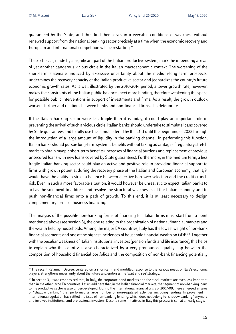guaranteed by the State) and thus find themselves in irreversible conditions of weakness without renewed support from the national banking sector precisely at a time when the economic recovery and European and international competition will be restarting. 19

These choices, made by a significant part of the Italian productive system, mark the impending arrival of yet another dangerous vicious circle in the Italian macroeconomic context. The worsening of the short-term stalemate, induced by excessive uncertainty about the medium-long term prospects, undermines the recovery capacity of the Italian productive sector and jeopardizes the country's future economic growth rates. As is well illustrated by the 2010-2014 period, a lower growth rate, however, makes the constraints of the Italian public balance sheet more binding, therefore weakening the space for possible public interventions in support of investments and firms. As a result, the growth outlook worsens further and relations between banks and non-financial firms also deteriorate.

If the Italian banking sector were less fragile than it is today, it could play an important role in preventing the arrival of such a vicious circle. Italian banks should undertake to stimulate loans covered by State guarantees and to fully use the stimuli offered by the ECB until the beginning of 2022 through the introduction of a large amount of liquidity in the banking channel. In performing this function, Italian banks should pursue long-term systemic benefits without taking advantage of regulatory stretch marks to obtain myopicshort-term benefits (increases of financial burdens and replacement of previous unsecured loans with new loans covered by State guarantees). Furthermore, in the medium term, a less fragile Italian banking sector could play an active and positive role in providing financial support to firms with growth potential during the recovery phase of the Italian and European economy; that is, it would have the ability to strike a balance between effective borrower selection and the credit crunch risk. Even in such a more favorable situation, it would however be unrealistic to expect Italian banks to act as the sole pivot to address and resolve the structural weaknesses of the Italian economy and to push non-financial firms onto a path of growth. To this end, it is at least necessary to design complementary forms of business financing.

The analysis of the possible non-banking forms of financing for Italian firms must start from a point mentioned above (see section 3), the one relating to the organization of national financial markets and the wealth held by households. Among the major EA countries, Italy hasthe lowest weight of non-bank financial segments and one of the highest incidences of household financial wealth on GDP.20 Together with the peculiar weakness of Italian institutional investors (pension funds and life insurance), this helps to explain why the country is also characterized by a very pronounced quality gap between the composition of household financial portfolios and the composition of non-bank financing potentially

<sup>&</sup>lt;sup>19</sup> The recent Relaunch Decree, centered on a short-term and muddled response to the various needs of Italy's economic players, strengthens uncertainty about the future and endorses the 'wait and see' strategy.

<sup>&</sup>lt;sup>20</sup> In section 3, it was emphasized that, in Italy, the corporate bond markets and the stock markets are even less important than in the other large EA countries. Let us add here that, in the Italian financial markets, the segment of non-banking loans to the productive sector is also underdeveloped. During the international financial crisis of 2007-09, there emerged an area of "shadow banking" that performed a large number of non-regulated activities including lending. Improvement in international regulation has settled the issue of non-banking lending, which does not belong to "shadow banking" anymore and involves institutional and professional investors. Despite some initiatives, in Italy this process is still at an early stage.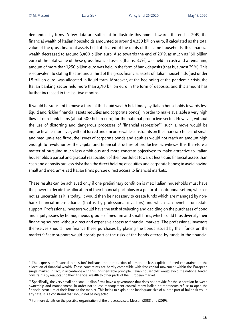demanded by firms. A few data are sufficient to illustrate this point. Towards the end of 2019, the financial wealth of Italian households amounted to around 4,350 billion euro, if calculated as the total value of the gross financial assets held; if cleared of the debts of the same households, this financial wealth decreased to around 3,400 billion euro. Also towards the end of 2019, as much as 160 billion euro of the total value of these gross financial assets (that is, 3.7%) was held in cash and a remaining amount of more than 1,250 billion euro was held in the form of bank deposits (that is, almost 29%). This is equivalent to stating that around a third of the gross financial assets of Italian households (just under 1.5 trillion euro) was allocated in liquid form. Moreover, at the beginning of the pandemic crisis, the Italian banking sector held more than 2,710 billion euro in the form of deposits; and this amount has further increased in the last two months.

It would be sufficient to move a third of the liquid wealth held today by Italian households towards less liquid and riskier financial assets (equities and corporate bonds) in order to make available a very high flow of non-bank loans (about 500 billion euro) for the national productive sector. However, without the use of distorting and dangerous processes of "financial repression"21 such a move would be impracticable; moreover, without forced and unconceivable constraints on the financial choices of small and medium-sized firms, the issues of corporate bonds and equities would not reach an amount high enough to revolutionize the capital and financial structure of productive activities.<sup>22</sup> It is therefore a matter of pursuing much less ambitious and more concrete objectives: to make attractive to Italian households a partial and gradual reallocation of their portfolios towards less liquid financial assets than cash and deposits but less risky than the direct holding of equities and corporate bonds; to avoid having small and medium-sized Italian firms pursue direct access to financial markets.

These results can be achieved only if one preliminary condition is met: Italian households must have the power to decide the allocation of their financial portfolios in a political-institutional setting which is not as uncertain as it is today. It would then be necessary to create funds which are managed by nonbank financial intermediaries (that is, by professional investors) and which can benefit from State support. Professional investors would have the task of selecting and deciding on the purchases of bond and equity issues by homogeneous groups of medium and small firms, which could thus diversify their financing sources without direct and expensive access to financial markets. The professional investors themselves should then finance these purchases by placing the bonds issued by their funds on the market.23 State support would absorb part of the risks of the bonds offered by funds in the financial

<sup>21</sup> The expression "financial repression" indicates the introduction of - more or less explicit – forced constraints on the allocation of financial wealth. These constraints are hardly compatible with free capital movement within the European single market. In fact, in accordance with this indispensable principle, Italian households would avoid the national forced constraints by reallocating their financial wealth to other parts of the European market.

<sup>&</sup>lt;sup>22</sup> Specifically, the very small and small Italian firms have a governance that does not provide for the separation between ownership and management. In order not to lose management control, many Italian entrepreneurs refuse to open the financial structure of their firms to the market. This helps to explain the inadequate size of a large part of Italian firms. In any case, it is a constraint that should not be neglected.

<sup>&</sup>lt;sup>23</sup> For more details on the possible organization of the processes, see: Messori (2018) and (2019).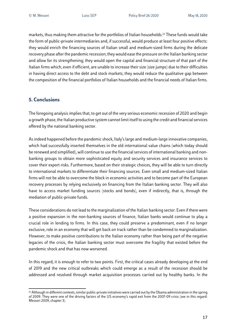markets, thus making them attractive for the portfolios of Italian households. <sup>24</sup> These funds would take the form of public-private intermediaries and, if successful, would produce at least four positive effects: they would enrich the financing sources of Italian small and medium-sized firms during the delicate recovery phase after the pandemic recession; they would ease the pressure on the Italian banking sector and allow for its strengthening; they would open the capital and financial structure of that part of the Italian firms which, even if efficient, are unable to increase their size (size jumps) due to their difficulties in having direct access to the debt and stock markets; they would reduce the qualitative gap between the composition of the financial portfolios of Italian households and the financial needs of Italian firms.

#### **5. Conclusions**

The foregoing analysis implies that, to get out of the very serious economic recession of 2020 and begin a growth phase, the Italian productive system cannot limit itself to using the credit and financial services offered by the national banking sector.

As indeed happened before the pandemic shock, Italy'slarge and medium-large innovative companies, which had successfully inserted themselves in the old international value chains (which today should be renewed and simplified), will continue to use the financial services of international banking and nonbanking groups to obtain more sophisticated equity and security services and insurance services to cover their export risks. Furthermore, based on their strategic choices, they will be able to turn directly to international markets to differentiate their financing sources. Even small and medium-sized Italian firms will not be able to overcome the block in economic activities and to become part of the European recovery processes by relying exclusively on financing from the Italian banking sector. They will also have to access market funding sources (stocks and bonds), even if indirectly, that is, through the mediation of public-private funds.

These considerations do not lead to the marginalization of the Italian banking sector. Even if there were a positive expansion in the non-banking sources of finance, Italian banks would continue to play a crucial role in lending to firms. In this case, they could preserve a predominant, even if no longer exclusive, role in an economy that will get back on track rather than be condemned to marginalization. However, to make positive contributions to the Italian economy rather than being part of the negative legacies of the crisis, the Italian banking sector must overcome the fragility that existed before the pandemic shock and that has now worsened.

In this regard, it is enough to refer to two points. First, the critical cases already developing at the end of 2019 and the new critical outbreaks which could emerge as a result of the recession should be addressed and resolved through market acquisition processes carried out by healthy banks. In the

<sup>&</sup>lt;sup>24</sup> Although in different contexts, similar public-private initiatives were carried out by the Obama administration in the spring of 2009. They were one of the driving factors of the US economy's rapid exit from the 2007-09 crisis (see in this regard: Messori 2009, chapter 3).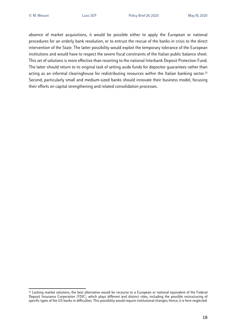absence of market acquisitions, it would be possible either to apply the European or national procedures for an orderly bank resolution, or to entrust the rescue of the banks in crisis to the direct intervention of the State. The latter possibility would exploit the temporary tolerance of the European institutions and would have to respect the severe fiscal constraints of the Italian public balance sheet. This set of solutions is more effective than resorting to the national Interbank Deposit Protection Fund. The latter should return to its original task of setting aside funds for depositor guarantees rather than acting as an informal clearinghouse for redistributing resources within the Italian banking sector. 25 Second, particularly small and medium-sized banks should innovate their business model, focusing their efforts on capital strengthening and related consolidation processes.

<sup>&</sup>lt;sup>25</sup> Lacking market solutions, the best alternative would be recourse to a European or national equivalent of the Federal Deposit Insurance Corporation (FDIC), which plays different and distinct roles, including the possible restructuring of specific types of the US banks in difficulties. This possibility would require institutional changes; hence, it is here neglected.